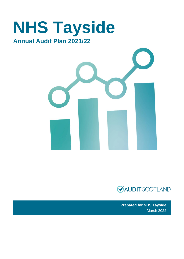# **NHS Tayside Annual Audit Plan 2021/22**





**Prepared for NHS Tayside**  March 2022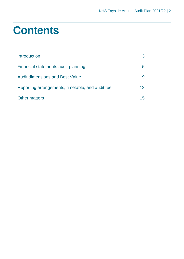# **Contents**

| Introduction                                     |    |
|--------------------------------------------------|----|
| Financial statements audit planning              | h  |
| <b>Audit dimensions and Best Value</b>           |    |
| Reporting arrangements, timetable, and audit fee | 13 |
| <b>Other matters</b>                             |    |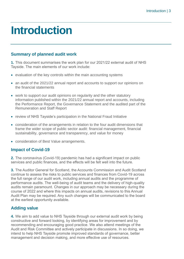# <span id="page-2-0"></span>**Introduction**

### **Summary of planned audit work**

**1.** This document summarises the work plan for our 2021/22 external audit of NHS Tayside. The main elements of our work include:

- evaluation of the key controls within the main accounting systems
- an audit of the 2021/22 annual report and accounts to support our opinions on the financial statements
- work to support our audit opinions on regularity and the other statutory information published within the 2021/22 annual report and accounts, including the Performance Report, the Governance Statement and the audited part of the Remuneration and Staff Report
- review of NHS Tayside's participation in the National Fraud Initiative
- consideration of the arrangements in relation to the four audit dimensions that frame the wider scope of public sector audit: financial management, financial sustainability, governance and transparency, and value for money
- consideration of Best Value arrangements.

# **Impact of Covid-19**

**2.** The coronavirus (Covid-19) pandemic has had a significant impact on public services and public finances, and the effects will be felt well into the future.

**3.** The Auditor General for Scotland, the Accounts Commission and Audit Scotland continue to assess the risks to public services and finances from Covid-19 across the full range of our audit work, including annual audits and the programme of performance audits. The well-being of audit teams and the delivery of high-quality audits remain paramount. Changes in our approach may be necessary during the course of 2022 and where this impacts on annual audits, revisions to this Annual Audit Plan may be required. Any such changes will be communicated to the board at the earliest opportunity available.

# **Adding value**

**4.** We aim to add value to NHS Tayside through our external audit work by being constructive and forward looking, by identifying areas for improvement and by recommending and encouraging good practice. We also attend meetings of the Audit and Risk Committee and actively participate in discussions. In so doing, we intend to help NHS Tayside promote improved standards of governance, better management and decision making, and more effective use of resources.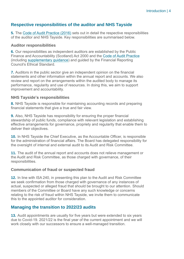# **Respective responsibilities of the auditor and NHS Tayside**

**5.** The [Code of Audit Practice \(2016\)](https://www.audit-scotland.gov.uk/uploads/docs/report/2016/code_audit_practice_16_0.pdf) sets out in detail the respective responsibilities of the auditor and NHS Tayside. Key responsibilities are summarised below.

#### **Auditor responsibilities**

**6.** Our responsibilities as independent auditors are established by the Public Finance and Accountability (Scotland) Act 2000 and the [Code of Audit Practice](https://www.audit-scotland.gov.uk/uploads/docs/report/2016/code_audit_practice_16_0.pdf) (including [supplementary guidance\)](https://www.audit-scotland.gov.uk/uploads/docs/um/code_audit_guidance_16_supp.pdf) and guided by the Financial Reporting Council's Ethical Standard.

**7.** Auditors in the public sector give an independent opinion on the financial statements and other information within the annual report and accounts. We also review and report on the arrangements within the audited body to manage its performance, regularity and use of resources. In doing this, we aim to support improvement and accountability.

### **NHS Tayside's responsibilities**

**8.** NHS Tayside is responsible for maintaining accounting records and preparing financial statements that give a true and fair view.

**9.** Also, NHS Tayside has responsibility for ensuring the proper financial stewardship of public funds, compliance with relevant legislation and establishing effective arrangements for governance, propriety and regularity that enable them to deliver their objectives.

**10.** In NHS Tayside the Chief Executive, as the Accountable Officer, is responsible for the administration of financial affairs. The Board has delegated responsibility for the oversight of internal and external audit to its Audit and Risk Committee.

**11.** The audit of the annual report and accounts does not relieve management or the Audit and Risk Committee, as those charged with governance, of their responsibilities.

### **Communication of fraud or suspected fraud**

**12.** In line with ISA 240, in presenting this plan to the Audit and Risk Committee we seek confirmation from those charged with governance of any instances of actual, suspected or alleged fraud that should be brought to our attention. Should members of the Committee or Board have any such knowledge or concerns relating to the risk of fraud within NHS Tayside, we invite them to communicate this to the appointed auditor for consideration.

# **Managing the transition to 2022/23 audits**

**13.** Audit appointments are usually for five years but were extended to six years due to Covid-19. 2021/22 is the final year of the current appointment and we will work closely with our successors to ensure a well-managed transition.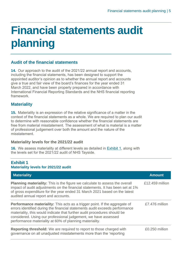# <span id="page-4-0"></span>**Financial statements audit planning**

# **Audit of the financial statements**

**14.** Our approach to the audit of the 2021/22 annual report and accounts, including the financial statements, has been designed to support the appointed auditor's opinion as to whether the annual report and accounts give a true and fair view of the board's finances for the year ended 31 March 2022, and have been properly prepared in accordance with International Financial Reporting Standards and the NHS financial reporting framework.

# **Materiality**

**15.** Materiality is an expression of the relative significance of a matter in the context of the financial statements as a whole. We are required to plan our audit to determine with reasonable confidence whether the financial statements are free from material misstatement. The assessment of what is material is a matter of professional judgement over both the amount and the nature of the misstatement.

### **Materiality levels for the 2021/22 audit**

**16.** We assess materiality at different levels as detailed in [Exhibit 1,](#page-4-1) along with the levels set for the 2021/22 audit of NHS Tayside.

#### <span id="page-4-1"></span>**Exhibit 1 Materiality levels for 2021/22 audit**

| <b>Materiality</b>                                                                                                                                                                                                                                                                                                                                                        | <b>Amount</b>   |
|---------------------------------------------------------------------------------------------------------------------------------------------------------------------------------------------------------------------------------------------------------------------------------------------------------------------------------------------------------------------------|-----------------|
| <b>Planning materiality:</b> This is the figure we calculate to assess the overall<br>impact of audit adjustments on the financial statements. It has been set at 1%<br>of gross expenditure for the year ended 31 March 2021 based on the latest<br>audited annual report and accounts.                                                                                  | £12.459 million |
| <b>Performance materiality:</b> This acts as a trigger point. If the aggregate of<br>errors identified during the financial statements audit exceeds performance<br>materiality, this would indicate that further audit procedures should be<br>considered. Using our professional judgement, we have assessed<br>performance materiality at 60% of planning materiality. | £7,476 million  |
| Reporting threshold: We are required to report to those charged with<br>governance on all unadjusted misstatements more than the 'reporting                                                                                                                                                                                                                               | £0.250 million  |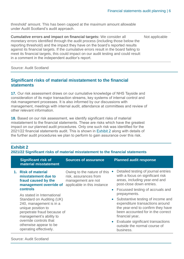threshold' amount. This has been capped at the maximum amount allowable under Audit Scotland's audit approach.

**Cumulative errors and impact on financial targets:** We consider all monetary errors identified through the audit process (including those below the reporting threshold) and the impact they have on the board's reported results against its financial targets. If the cumulative errors result in the board failing to meet its financial targets, this could impact on our audit testing and could result in a comment in the independent auditor's report. Not applicable

Source: Audit Scotland

### **Significant risks of material misstatement to the financial statements**

**17.** Our risk assessment draws on our cumulative knowledge of NHS Tayside and consideration of its major transaction streams, key systems of internal control and risk management processes. It is also informed by our discussions with management, meetings with internal audit, attendance at committees and review of other relevant information.

**18.** Based on our risk assessment, we identify significant risks of material misstatement to the financial statements. These are risks which have the greatest impact on our planned audit procedures. Only one such risk was identified for the 2021/22 financial statements audit. This is shown in [Exhibit 2](#page-5-0) along with details of the further audit procedures we plan to perform to gain assurance over this risk.

# <span id="page-5-0"></span>**Exhibit 2**

**2021/22 Significant risks of material misstatement to the financial statements** 

| <b>Significant risk of</b><br>material misstatement                                                                                                                                                                | <b>Sources of assurance</b>                                                                               | <b>Planned audit response</b>                                                                                                                                     |
|--------------------------------------------------------------------------------------------------------------------------------------------------------------------------------------------------------------------|-----------------------------------------------------------------------------------------------------------|-------------------------------------------------------------------------------------------------------------------------------------------------------------------|
| 1. Risk of material<br>misstatement due to<br>fraud caused by the<br>management override of                                                                                                                        | Owing to the nature of this<br>risk, assurances from<br>management are not<br>applicable in this instance | Detailed testing of journal entries<br>with a focus on significant risk<br>areas, including year-end and<br>post-close down entries.                              |
| <b>controls</b><br>As stated in International                                                                                                                                                                      |                                                                                                           | • Focussed testing of accruals and<br>prepayments.                                                                                                                |
| Standard on Auditing (UK)<br>240, management is in a<br>unique position to<br>perpetrate fraud because of<br>management's ability to<br>override controls that<br>otherwise appear to be<br>operating effectively. |                                                                                                           | Substantive testing of income and<br>expenditure transactions around<br>the year-end to confirm they have<br>been accounted for in the correct<br>financial year. |
|                                                                                                                                                                                                                    |                                                                                                           | Evaluate significant transactions<br>outside the normal course of<br>business.                                                                                    |

Source: Audit Scotland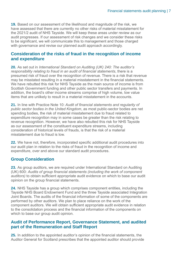**19.** Based on our assessment of the likelihood and magnitude of the risk, we have assessed that there are currently no other risks of material misstatement for the 2021/2 audit of NHS Tayside. We will keep these areas under review as our audit progresses. If our assessment of risk changes and we consider these risks to be significant, we will communicate this to management and those charged with governance and revise our planned audit approach accordingly.

### **Consideration of the risks of fraud in the recognition of income and expenditure**

**20.** As set out in *International Standard on Auditing (UK) 240: The auditor's responsibility relating to fraud in an audit of financial statements*, there is a presumed risk of fraud over the recognition of revenue. There is a risk that revenue may be misstated resulting in a material misstatement in the financial statements. We have rebutted this risk for NHS Tayside as the main source of income is from Scottish Government funding and other public sector transfers and payments. In addition, the board's other income streams comprise of high volume, low value items that are unlikely to result in a material misstatement in the accounts.

**21.** In line with Practice Note 10: *Audit of financial statements and regularity of public sector bodies in the United Kingdom*, as most public-sector bodies are net spending bodies, the risk of material misstatement due to fraud related to expenditure recognition may in some cases be greater than the risk relating to revenue recognition. However, we have also rebutted this risk for NHS Tayside as our assessment of the constituent expenditure streams, including consideration of historical levels of frauds, is that the risk of a material misstatement due to fraud is low.

**22.** We have not, therefore, incorporated specific additional audit procedures into our audit plan in relation to the risks of fraud in the recognition of income and expenditure, over and above our standard audit procedures.

# **Group Consideration**

**23.** As group auditors, we are required under International Standard on Auditing (UK) 600: *Audits of group financial statements (including the work of component auditors)* to obtain sufficient appropriate audit evidence on which to base our audit opinion on the group financial statements.

**24.** NHS Tayside has a group which comprises component entities, including the Tayside NHS Board Endowment Fund and the three Tayside associated Integration Joint Boards. The audits of the financial information of some of the components are performed by other auditors. We plan to place reliance on the work of the component auditors. We will obtain sufficient appropriate audit evidence in relation to the consolidation process and the financial information of the components on which to base our group audit opinion.

### **Audit of Performance Report, Governance Statement, and audited part of the Remuneration and Staff Report**

**25.** In addition to the appointed auditor's opinion of the financial statements, the Auditor General for Scotland prescribes that the appointed auditor should provide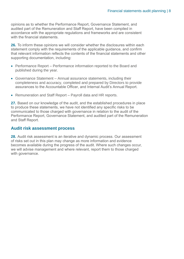opinions as to whether the Performance Report, Governance Statement, and audited part of the Remuneration and Staff Report, have been compiled in accordance with the appropriate regulations and frameworks and are consistent with the financial statements.

**26.** To inform these opinions we will consider whether the disclosures within each statement comply with the requirements of the applicable guidance, and confirm that relevant information reflects the contents of the financial statements and other supporting documentation, including:

- Performance Report Performance information reported to the Board and published during the year.
- Governance Statement Annual assurance statements, including their completeness and accuracy, completed and prepared by Directors to provide assurances to the Accountable Officer, and Internal Audit's Annual Report.
- Remuneration and Staff Report Payroll data and HR reports.

**27.** Based on our knowledge of the audit, and the established procedures in place to produce these statements, we have not identified any specific risks to be communicated to those charged with governance in relation to the audit of the Performance Report, Governance Statement, and audited part of the Remuneration and Staff Report.

#### **Audit risk assessment process**

**28.** Audit risk assessment is an iterative and dynamic process. Our assessment of risks set out in this plan may change as more information and evidence becomes available during the progress of the audit. Where such changes occur, we will advise management and where relevant, report them to those charged with governance.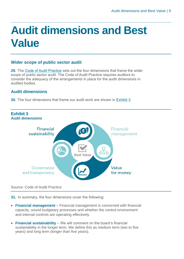# <span id="page-8-0"></span>**Audit dimensions and Best Value**

### **Wider scope of public sector audit**

**29.** The [Code of Audit Practice](https://www.audit-scotland.gov.uk/uploads/docs/report/2016/code_audit_practice_16_0.pdf) sets out the four dimensions that frame the wider scope of public sector audit. The Code of Audit Practice requires auditors to consider the adequacy of the arrangements in place for the audit dimensions in audited bodies.

# **Audit dimensions**

<span id="page-8-1"></span>**30.** The four dimensions that frame our audit work are shown in [Exhibit 3.](#page-10-0)



#### Source: Code of Audit Practice

**31.** In summary, the four dimensions cover the following:

- **Financial management** Financial management is concerned with financial capacity, sound budgetary processes and whether the control environment and internal controls are operating effectively.
- **Financial sustainability** We will comment on the board's financial sustainability in the longer term. We define this as medium term (two to five years) and long term (longer than five years).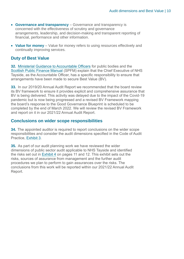- **Governance and transparency** Governance and transparency is concerned with the effectiveness of scrutiny and governance arrangements, leadership, and decision-making and transparent reporting of financial, performance and other information.
- **Value for money** Value for money refers to using resources effectively and continually improving services.

### **Duty of Best Value**

**32.** [Ministerial Guidance to Accountable Officers](https://www.gov.scot/publications/best-value-public-services-guidance-accountable-officers/) for public bodies and the [Scottish Public Finance Manual](https://www.gov.scot/publications/scottish-public-finance-manual/background-and-applicability/background-and-applicability/) (SPFM) explain that the Chief Executive of NHS Tayside, as the Accountable Officer, has a specific responsibility to ensure that arrangements have been made to secure Best Value (BV).

**33.** In our 2019/20 Annual Audit Report we recommended that the board review its BV framework to ensure it provides explicit and comprehensive assurance that BV is being delivered. This activity was delayed due to the impact of the Covid-19 pandemic but is now being progressed and a revised BV Framework mapping the board's response to the Good Governance Blueprint is scheduled to be completed by the end of March 2022. We will review the revised BV Framework and report on it in our 2021/22 Annual Audit Report.

### **Conclusions on wider scope responsibilities**

**34.** The appointed auditor is required to report conclusions on the wider scope responsibilities and consider the audit dimensions specified in the Code of Audit Practice, [Exhibit 3.](#page-8-1)

**35.** As part of our audit planning work we have reviewed the wider dimensions of public sector audit applicable to NHS Tayside and identified the risks set out in [Exhibit 4](#page-10-0) on pages 11 and 12. This exhibit sets out the risks, sources of assurance from management and the further audit procedures we plan to perform to gain assurances over the risks. The conclusions from this work will be reported within our 2021/22 Annual Audit Report.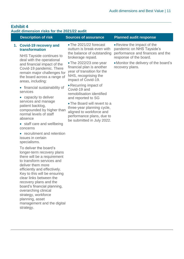<span id="page-10-0"></span>

| <b>Exhibit 4</b><br>Audit dimension risks for the 2021/22 audit |                                                                                                                                                                                                                                                                                                                                                                                                                                                                                                                                                                                                                                                                                                                             |                                                                                                                                                                                                                                                                                                                                                                                                                                                                                              |                                                                                                                                                                                   |
|-----------------------------------------------------------------|-----------------------------------------------------------------------------------------------------------------------------------------------------------------------------------------------------------------------------------------------------------------------------------------------------------------------------------------------------------------------------------------------------------------------------------------------------------------------------------------------------------------------------------------------------------------------------------------------------------------------------------------------------------------------------------------------------------------------------|----------------------------------------------------------------------------------------------------------------------------------------------------------------------------------------------------------------------------------------------------------------------------------------------------------------------------------------------------------------------------------------------------------------------------------------------------------------------------------------------|-----------------------------------------------------------------------------------------------------------------------------------------------------------------------------------|
|                                                                 | <b>Description of risk</b>                                                                                                                                                                                                                                                                                                                                                                                                                                                                                                                                                                                                                                                                                                  | <b>Sources of assurance</b>                                                                                                                                                                                                                                                                                                                                                                                                                                                                  | <b>Planned audit response</b>                                                                                                                                                     |
|                                                                 | 1. Covid-19 recovery and<br>transformation<br>NHS Tayside continues to<br>deal with the operational<br>and financial impact of the<br>Covid-19 pandemic. There<br>remain major challenges for<br>the board across a range of<br>areas, including:<br>• financial sustainability of<br>services<br>• capacity to deliver<br>services and manage<br>patient backlog,<br>compounded by higher than<br>normal levels of staff<br>absence<br>• staff care and wellbeing<br>concerns<br>• recruitment and retention<br>issues in certain<br>specialisms.<br>To deliver the board's<br>longer-term recovery plans<br>there will be a requirement<br>to transform services and<br>deliver them more<br>efficiently and effectively. | • The 2021/22 forecast<br>outturn is break-even with<br>the balance of outstanding<br>brokerage repaid.<br>• The 2022/23 one-year<br>financial plan is another<br>year of transition for the<br>NHS, recognising the<br>impact of Covid-19.<br>• Recurring impact of<br>Covid-19 and<br>remobilisation identified<br>and reported to SG<br>• The Board will revert to a<br>three-year planning cycle,<br>aligned to workforce and<br>performance plans, due to<br>be submitted in July 2022. | • Review the impact of the<br>pandemic on NHS Tayside's<br>performance and finances and the<br>response of the board.<br>• Monitor the delivery of the board's<br>recovery plans. |
|                                                                 | Key to this will be ensuring<br>clear links between the<br>recovery plans and the<br>board's financial planning,<br>overarching clinical<br>strategy, workforce                                                                                                                                                                                                                                                                                                                                                                                                                                                                                                                                                             |                                                                                                                                                                                                                                                                                                                                                                                                                                                                                              |                                                                                                                                                                                   |

planning, asset

strategy.

management and the digital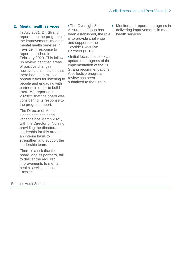#### **2. Mental health services**

In July 2021, Dr. Strang reported on the progress of the improvements made in mental health services in Tayside in response to report published in February 2020. This followup review identified areas of positive changes however, it also stated that there had been missed opportunities for listening to people and engaging with partners in order to build trust. We reported in 2020/21 that the board was considering its response to the progress report.

The Director of Mental Health post has been vacant since March 2021, with the Director of Nursing providing the directorate leadership for this area on an interim basis to strengthen and support the leadership team.

There is a risk that the board, and its partners, fail to deliver the required improvements to mental health services across Tayside.

•The Oversight & Assurance Group has been established, the role is to provide challenge and support to the Tayside Executive Partners (TEP).

•Initial focus is to seek an update on progress of the implementation of the 51 Strang recommendations. A collective progress review has been submitted to the Group.

• Monitor and report on progress in delivering improvements in mental health services.

Source: Audit Scotland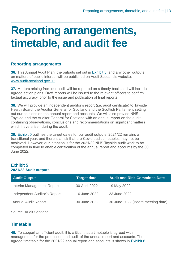# <span id="page-12-0"></span>**Reporting arrangements, timetable, and audit fee**

### **Reporting arrangements**

**36.** This Annual Audit Plan, the outputs set out in [Exhibit 5,](#page-12-1) and any other outputs on matters of public interest will be published on Audit Scotland's website: [www.audit-scotland.gov.uk.](http://www.audit-scotland.gov.uk./)

**37.** Matters arising from our audit will be reported on a timely basis and will include agreed action plans. Draft reports will be issued to the relevant officers to confirm factual accuracy, prior to the issue and publication of final reports.

**38.** We will provide an independent auditor's report (i.e. audit certificate) to Tayside Health Board, the Auditor General for Scotland and the Scottish Parliament setting out our opinions on the annual report and accounts. We will also provide NHS Tayside and the Auditor General for Scotland with an annual report on the audit containing observations, conclusions and recommendations on significant matters which have arisen during the audit.

**39.** [Exhibit 5](#page-12-1) outlines the target dates for our audit outputs. 2021/22 remains a transitional year, and there is a risk that pre-Covid audit timetables may not be achieved. However, our intention is for the 2021/22 NHS Tayside audit work to be completed in time to enable certification of the annual report and accounts by the 30 June 2022.

### <span id="page-12-1"></span>**Exhibit 5 2021/22 Audit outputs**

| <b>Audit Output</b>                 | <b>Target date</b> | <b>Audit and Risk Committee Date</b> |
|-------------------------------------|--------------------|--------------------------------------|
| Interim Management Report           | 30 April 2022      | 19 May 2022                          |
| <b>Independent Auditor's Report</b> | 16 June 2022       | 23 June 2022                         |
| <b>Annual Audit Report</b>          | 30 June 2022       | 30 June 2022 (Board meeting date)    |
| Source: Audit Scotland              |                    |                                      |

# **Timetable**

**40.** To support an efficient audit, it is critical that a timetable is agreed with management for the production and audit of the annual report and accounts. The agreed timetable for the 2021/22 annual report and accounts is shown in [Exhibit 6.](#page-13-0)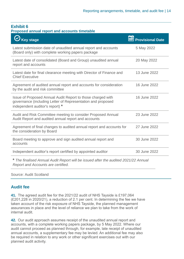### <span id="page-13-0"></span>**Exhibit 6**

#### **Proposed annual report and accounts timetable**

| <b>Key stage</b>                                                                                                                                              | <b>Provisional Date</b> |
|---------------------------------------------------------------------------------------------------------------------------------------------------------------|-------------------------|
| Latest submission date of unaudited annual report and accounts<br>(Board only) with complete working papers package                                           | 5 May 2022              |
| Latest date of consolidated (Board and Group) unaudited annual<br>report and accounts                                                                         | 20 May 2022             |
| Latest date for final clearance meeting with Director of Finance and<br><b>Chief Executive</b>                                                                | 13 June 2022            |
| Agreement of audited annual report and accounts for consideration<br>by the audit and risk committee                                                          | 16 June 2022            |
| Issue of Proposed Annual Audit Report to those charged with<br>governance (including Letter of Representation and proposed<br>independent auditor's report) * | 16 June 2022            |
| Audit and Risk Committee meeting to consider Proposed Annual<br>Audit Report and audited annual report and accounts                                           | 23 June 2022            |
| Agreement of final changes to audited annual report and accounts for<br>the consideration by Board                                                            | 27 June 2022            |
| Board meeting to approve and sign audited annual report and<br>accounts                                                                                       | 30 June 2022            |
| Independent auditor's report certified by appointed auditor                                                                                                   | 30 June 2022            |
| * The finalised Annual Audit Report will be issued after the audited 2021/22 Annual<br>Report and Accounts are certified.                                     |                         |

Source: Audit Scotland

### **Audit fee**

**41.** The agreed audit fee for the 2021/22 audit of NHS Tayside is £197,064 (£201,228 in 2020/21), a reduction of 2.1 per cent. In determining the fee we have taken account of the risk exposure of NHS Tayside, the planned management assurances in place and the level of reliance we plan to take from the work of internal audit.

**42.** Our audit approach assumes receipt of the unaudited annual report and accounts, with a complete working papers package, by 5 May 2022. Where our audit cannot proceed as planned through, for example, late receipt of unaudited annual accounts, a supplementary fee may be levied. An additional fee may also be required in relation to any work or other significant exercises out with our planned audit activity.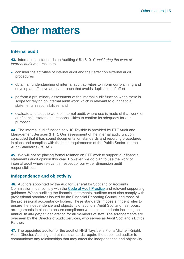# <span id="page-14-0"></span>**Other matters**

# **Internal audit**

**43.** International standards on Auditing (UK) 610: *Considering the work of internal audit r*equires us to:

- consider the activities of internal audit and their effect on external audit procedures
- obtain an understanding of internal audit activities to inform our planning and develop an effective audit approach that avoids duplication of effort
- perform a preliminary assessment of the internal audit function when there is scope for relying on internal audit work which is relevant to our financial statements' responsibilities; and
- evaluate and test the work of internal audit, where use is made of that work for our financial statements responsibilities to confirm its adequacy for our purposes.

**44.** The internal audit function at NHS Tayside is provided by FTF Audit and Management Services (FTF). Our assessment of the internal audit function concluded that it has sound documentation standards and reporting procedures in place and complies with the main requirements of the Public Sector Internal Audit Standards (PSIAS).

**45.** We will not be placing formal reliance on FTF work to support our financial statements audit opinion this year. However, we do plan to use the work of internal audit where relevant in respect of our wider dimension audit responsibilities.

### **Independence and objectivity**

**46.** Auditors appointed by the Auditor General for Scotland or Accounts Commission must comply with the [Code of Audit Practice](https://www.audit-scotland.gov.uk/uploads/docs/report/2016/code_audit_practice_16_0.pdf) and relevant supporting guidance. When auditing the financial statements, auditors must also comply with professional standards issued by the Financial Reporting Council and those of the professional accountancy bodies. These standards impose stringent rules to ensure the independence and objectivity of auditors. Audit Scotland has robust arrangements in place to ensure compliance with these standards including an annual *'fit and proper*' declaration for all members of staff. The arrangements are overseen by the Director of Audit Services, who serves as Audit Scotland's Ethics **Partner** 

**47.** The appointed auditor for the audit of NHS Tayside is Fiona Mitchell-Knight, Audit Director. Auditing and ethical standards require the appointed auditor to communicate any relationships that may affect the independence and objectivity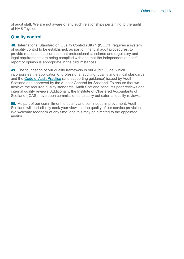of audit staff. We are not aware of any such relationships pertaining to the audit of NHS Tayside.

# **Quality control**

**48.** International Standard on Quality Control (UK) 1 (ISQC1) requires a system of quality control to be established, as part of financial audit procedures, to provide reasonable assurance that professional standards and regulatory and legal requirements are being complied with and that the independent auditor's report or opinion is appropriate in the circumstances.

**49.** The foundation of our quality framework is our Audit Guide, which incorporates the application of professional auditing, quality and ethical standards and the Code of Audit Practice (and supporting guidance) issued by Audit Scotland and approved by the Auditor General for Scotland. To ensure that we achieve the required quality standards, Audit Scotland conducts peer reviews and internal quality reviews. Additionally, the Institute of Chartered Accountants of Scotland (ICAS) have been commissioned to carry out external quality reviews.

**50.** As part of our commitment to quality and continuous improvement, Audit Scotland will periodically seek your views on the quality of our service provision. We welcome feedback at any time, and this may be directed to the appointed auditor.